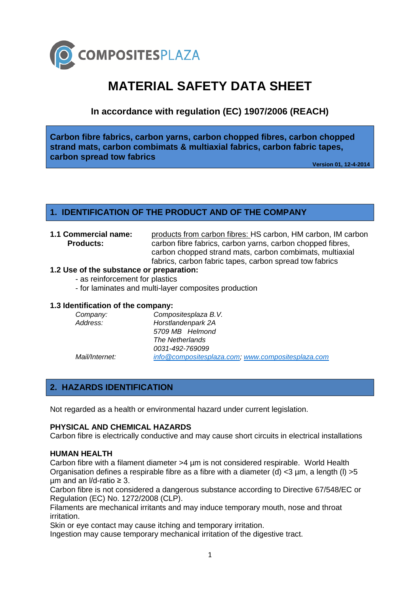

# **MATERIAL SAFETY DATA SHEET**

**In accordance with regulation (EC) 1907/2006 (REACH)**

**Carbon fibre fabrics, carbon yarns, carbon chopped fibres, carbon chopped strand mats, carbon combimats & multiaxial fabrics, carbon fabric tapes, carbon spread tow fabrics**

**Version 01, 12-4-2014**

# **1. IDENTIFICATION OF THE PRODUCT AND OF THE COMPANY**

**1.1 Commercial name:** products from carbon fibres: HS carbon, HM carbon, IM carbon **Products:** carbon fibre fabrics, carbon yarns, carbon chopped fibres, carbon chopped strand mats, carbon combimats, multiaxial fabrics, carbon fabric tapes, carbon spread tow fabrics

# **1.2 Use of the substance or preparation:**

- as reinforcement for plastics

- for laminates and multi-layer composites production

# **1.3 Identification of the company:**

| Company:       | Compositesplaza B.V.                              |
|----------------|---------------------------------------------------|
| Address:       | Horstlandenpark 2A                                |
|                | 5709 MB Helmond                                   |
|                | The Netherlands                                   |
|                | 0031-492-769099                                   |
| Mail/Internet: | info@compositesplaza.com, www.compositesplaza.com |

# **2. HAZARDS IDENTIFICATION**

Not regarded as a health or environmental hazard under current legislation.

### **PHYSICAL AND CHEMICAL HAZARDS**

Carbon fibre is electrically conductive and may cause short circuits in electrical installations

### **HUMAN HEALTH**

Carbon fibre with a filament diameter >4 µm is not considered respirable. World Health Organisation defines a respirable fibre as a fibre with a diameter (d)  $<$ 3 µm, a length (l) >5  $µm$  and an I/d-ratio  $\geq 3$ .

Carbon fibre is not considered a dangerous substance according to Directive 67/548/EC or Regulation (EC) No. 1272/2008 (CLP).

Filaments are mechanical irritants and may induce temporary mouth, nose and throat irritation.

Skin or eye contact may cause itching and temporary irritation.

Ingestion may cause temporary mechanical irritation of the digestive tract.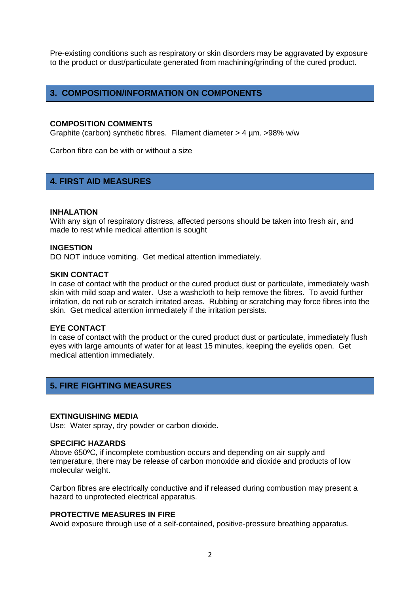Pre-existing conditions such as respiratory or skin disorders may be aggravated by exposure to the product or dust/particulate generated from machining/grinding of the cured product.

# **3. COMPOSITION/INFORMATION ON COMPONENTS**

### **COMPOSITION COMMENTS**

Graphite (carbon) synthetic fibres. Filament diameter > 4 µm. >98% w/w

Carbon fibre can be with or without a size

# **4. FIRST AID MEASURES**

#### **INHALATION**

With any sign of respiratory distress, affected persons should be taken into fresh air, and made to rest while medical attention is sought

### **INGESTION**

DO NOT induce vomiting. Get medical attention immediately.

### **SKIN CONTACT**

In case of contact with the product or the cured product dust or particulate, immediately wash skin with mild soap and water. Use a washcloth to help remove the fibres. To avoid further irritation, do not rub or scratch irritated areas. Rubbing or scratching may force fibres into the skin. Get medical attention immediately if the irritation persists.

#### **EYE CONTACT**

In case of contact with the product or the cured product dust or particulate, immediately flush eyes with large amounts of water for at least 15 minutes, keeping the eyelids open. Get medical attention immediately.

# **5. FIRE FIGHTING MEASURES**

#### **EXTINGUISHING MEDIA**

Use: Water spray, dry powder or carbon dioxide.

#### **SPECIFIC HAZARDS**

Above 650ºC, if incomplete combustion occurs and depending on air supply and temperature, there may be release of carbon monoxide and dioxide and products of low molecular weight.

Carbon fibres are electrically conductive and if released during combustion may present a hazard to unprotected electrical apparatus.

## **PROTECTIVE MEASURES IN FIRE**

Avoid exposure through use of a self-contained, positive-pressure breathing apparatus.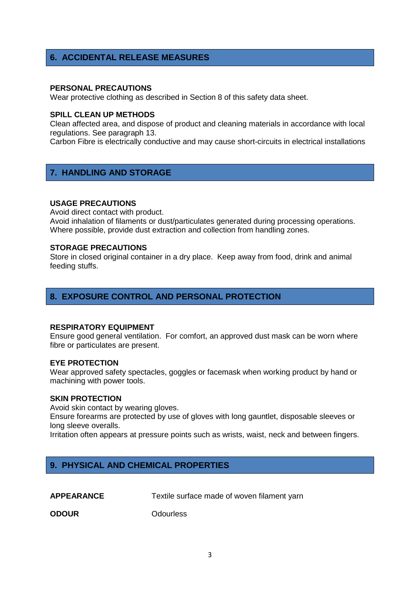# **6. ACCIDENTAL RELEASE MEASURES**

### **PERSONAL PRECAUTIONS**

Wear protective clothing as described in Section 8 of this safety data sheet.

### **SPILL CLEAN UP METHODS**

Clean affected area, and dispose of product and cleaning materials in accordance with local regulations. See paragraph 13.

Carbon Fibre is electrically conductive and may cause short-circuits in electrical installations

# **7. HANDLING AND STORAGE**

#### **USAGE PRECAUTIONS**

Avoid direct contact with product.

Avoid inhalation of filaments or dust/particulates generated during processing operations. Where possible, provide dust extraction and collection from handling zones.

#### **STORAGE PRECAUTIONS**

Store in closed original container in a dry place. Keep away from food, drink and animal feeding stuffs.

# **8. EXPOSURE CONTROL AND PERSONAL PROTECTION**

#### **RESPIRATORY EQUIPMENT**

Ensure good general ventilation. For comfort, an approved dust mask can be worn where fibre or particulates are present.

### **EYE PROTECTION**

Wear approved safety spectacles, goggles or facemask when working product by hand or machining with power tools.

### **SKIN PROTECTION**

Avoid skin contact by wearing gloves.

Ensure forearms are protected by use of gloves with long gauntlet, disposable sleeves or long sleeve overalls.

Irritation often appears at pressure points such as wrists, waist, neck and between fingers.

# **9. PHYSICAL AND CHEMICAL PROPERTIES**

**APPEARANCE** Textile surface made of woven filament yarn

**ODOUR** Odourless

3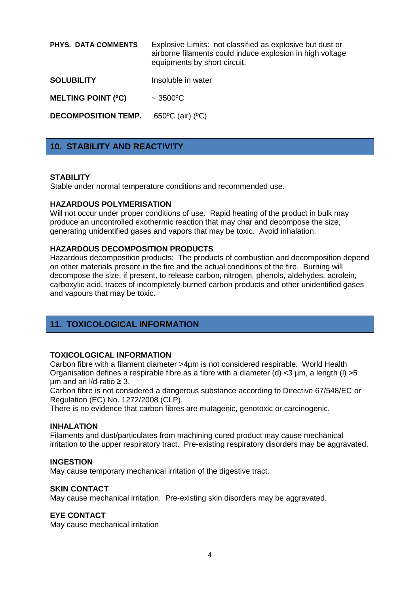**PHYS. DATA COMMENTS** Explosive Limits: not classified as explosive but dust or airborne filaments could induce explosion in high voltage equipments by short circuit.

**SOLUBILITY** Insoluble in water

**MELTING POINT (ºC)** ~ 3500ºC

**DECOMPOSITION TEMP.** 650°C (air) (°C)

# **10. STABILITY AND REACTIVITY**

### **STABILITY**

Stable under normal temperature conditions and recommended use.

### **HAZARDOUS POLYMERISATION**

Will not occur under proper conditions of use. Rapid heating of the product in bulk may produce an uncontrolled exothermic reaction that may char and decompose the size, generating unidentified gases and vapors that may be toxic. Avoid inhalation.

### **HAZARDOUS DECOMPOSITION PRODUCTS**

Hazardous decomposition products: The products of combustion and decomposition depend on other materials present in the fire and the actual conditions of the fire. Burning will decompose the size, if present, to release carbon, nitrogen, phenols, aldehydes, acrolein, carboxylic acid, traces of incompletely burned carbon products and other unidentified gases and vapours that may be toxic.

# **11. TOXICOLOGICAL INFORMATION**

### **TOXICOLOGICAL INFORMATION**

Carbon fibre with a filament diameter >4µm is not considered respirable. World Health Organisation defines a respirable fibre as a fibre with a diameter (d)  $<$ 3 µm, a length (l) >5  $µm$  and an  $I/d$ -ratio  $\geq 3$ .

Carbon fibre is not considered a dangerous substance according to Directive 67/548/EC or Regulation (EC) No. 1272/2008 (CLP).

There is no evidence that carbon fibres are mutagenic, genotoxic or carcinogenic.

#### **INHALATION**

Filaments and dust/particulates from machining cured product may cause mechanical irritation to the upper respiratory tract. Pre-existing respiratory disorders may be aggravated.

### **INGESTION**

May cause temporary mechanical irritation of the digestive tract.

### **SKIN CONTACT**

May cause mechanical irritation. Pre-existing skin disorders may be aggravated.

### **EYE CONTACT**

May cause mechanical irritation